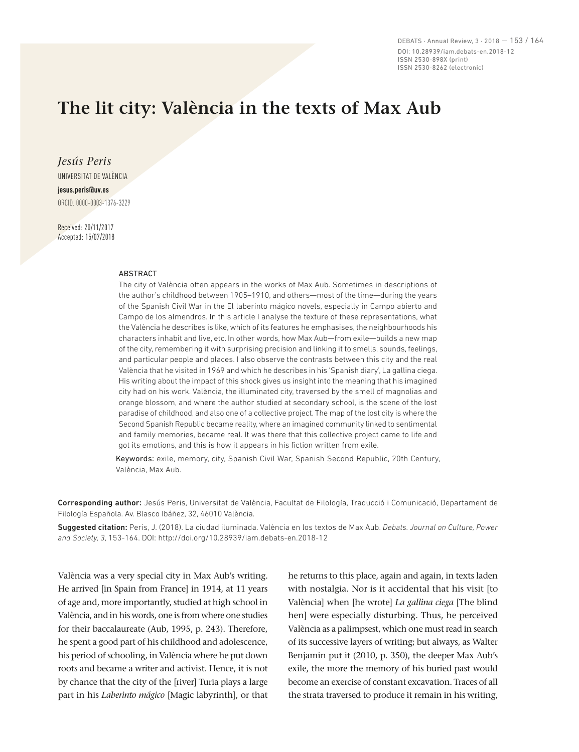DEBATS · Annual Review, 3 · 2018 — 153 / 164 DOI: 10.28939/iam.debats-en.2018-12 ISSN 2530-898X (print) ISSN 2530-8262 (electronic)

## **The lit city: València in the texts of Max Aub**

*Jesús Peris*  UNIVERSITAT DE VALÈNCIA **jesus.peris@uv.es** ORCID. 0000‑0003‑1376‑3229

Received: 20/11/2017 Accepted: 15/07/2018

## ABSTRACT

The city of València often appears in the works of Max Aub. Sometimes in descriptions of the author's childhood between 1905–1910, and others—most of the time—during the years of the Spanish Civil War in the El laberinto mágico novels, especially in Campo abierto and Campo de los almendros. In this article I analyse the texture of these representations, what the València he describes is like, which of its features he emphasises, the neighbourhoods his characters inhabit and live, etc. In other words, how Max Aub—from exile—builds a new map of the city, remembering it with surprising precision and linking it to smells, sounds, feelings, and particular people and places. I also observe the contrasts between this city and the real València that he visited in 1969 and which he describes in his 'Spanish diary', La gallina ciega. His writing about the impact of this shock gives us insight into the meaning that his imagined city had on his work. València, the illuminated city, traversed by the smell of magnolias and orange blossom, and where the author studied at secondary school, is the scene of the lost paradise of childhood, and also one of a collective project. The map of the lost city is where the Second Spanish Republic became reality, where an imagined community linked to sentimental and family memories, became real. It was there that this collective project came to life and got its emotions, and this is how it appears in his fiction written from exile.

Keywords: exile, memory, city, Spanish Civil War, Spanish Second Republic, 20th Century, València, Max Aub.

Corresponding author: Jesús Peris, Universitat de València, Facultat de Filología, Traducció i Comunicació, Departament de Filología Española. Av. Blasco Ibáñez, 32, 46010 València.

Suggested citation: Peris, J. (2018). La ciudad iluminada. València en los textos de Max Aub. *Debats. Journal on Culture, Power and Society, 3*, 153-164. DOI: http://doi.org/10.28939/iam.debats-en.2018-12

València was a very special city in Max Aub's writing. He arrived [in Spain from France] in 1914, at 11 years of age and, more importantly, studied at high school in València, and in his words, one is from where one studies for their baccalaureate (Aub, 1995, p. 243). Therefore, he spent a good part of his childhood and adolescence, his period of schooling, in València where he put down roots and became a writer and activist. Hence, it is not by chance that the city of the [river] Turia plays a large part in his *Laberinto mágico* [Magic labyrinth], or that he returns to this place, again and again, in texts laden with nostalgia. Nor is it accidental that his visit [to València] when [he wrote] *La gallina ciega* [The blind hen] were especially disturbing. Thus, he perceived València as a palimpsest, which one must read in search of its successive layers of writing; but always, as Walter Benjamin put it (2010, p. 350), the deeper Max Aub's exile, the more the memory of his buried past would become an exercise of constant excavation. Traces of all the strata traversed to produce it remain in his writing,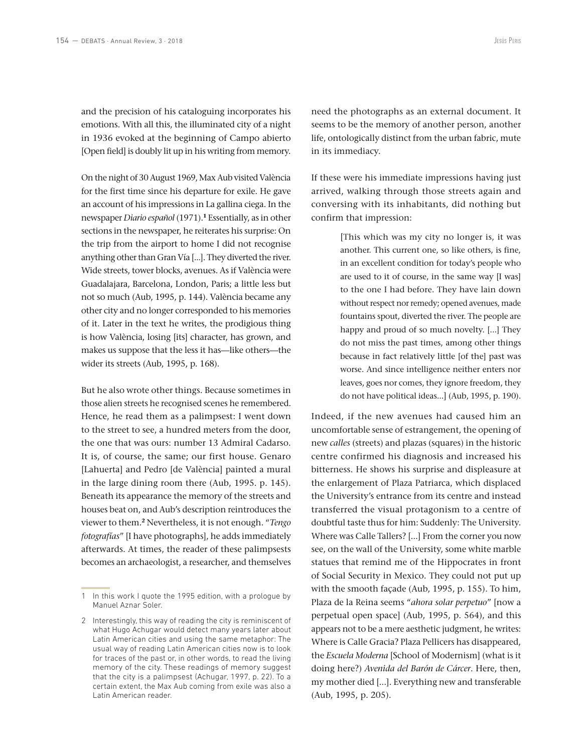and the precision of his cataloguing incorporates his emotions. With all this, the illuminated city of a night in 1936 evoked at the beginning of Campo abierto [Open field] is doubly lit up in his writing from memory.

On the night of 30 August 1969, Max Aub visited València for the first time since his departure for exile. He gave an account of his impressions in La gallina ciega. In the newspaper *Diario español* (1971).**<sup>1</sup>** Essentially, as in other sections in the newspaper, he reiterates his surprise: On the trip from the airport to home I did not recognise anything other than Gran Vía [...]. They diverted the river. Wide streets, tower blocks, avenues. As if València were Guadalajara, Barcelona, London, Paris; a little less but not so much (Aub, 1995, p. 144). València became any other city and no longer corresponded to his memories of it. Later in the text he writes, the prodigious thing is how València, losing [its] character, has grown, and makes us suppose that the less it has—like others—the wider its streets (Aub, 1995, p. 168).

But he also wrote other things. Because sometimes in those alien streets he recognised scenes he remembered. Hence, he read them as a palimpsest: I went down to the street to see, a hundred meters from the door, the one that was ours: number 13 Admiral Cadarso. It is, of course, the same; our first house. Genaro [Lahuerta] and Pedro [de València] painted a mural in the large dining room there (Aub, 1995. p. 145). Beneath its appearance the memory of the streets and houses beat on, and Aub's description reintroduces the viewer to them.**<sup>2</sup>** Nevertheless, it is not enough. "*Tengo fotografías*" [I have photographs], he adds immediately afterwards. At times, the reader of these palimpsests becomes an archaeologist, a researcher, and themselves

need the photographs as an external document. It seems to be the memory of another person, another life, ontologically distinct from the urban fabric, mute in its immediacy.

If these were his immediate impressions having just arrived, walking through those streets again and conversing with its inhabitants, did nothing but confirm that impression:

> [This which was my city no longer is, it was another. This current one, so like others, is fine, in an excellent condition for today's people who are used to it of course, in the same way [I was] to the one I had before. They have lain down without respect nor remedy; opened avenues, made fountains spout, diverted the river. The people are happy and proud of so much novelty. [...] They do not miss the past times, among other things because in fact relatively little [of the] past was worse. And since intelligence neither enters nor leaves, goes nor comes, they ignore freedom, they do not have political ideas...] (Aub, 1995, p. 190).

Indeed, if the new avenues had caused him an uncomfortable sense of estrangement, the opening of new *calles* (streets) and plazas (squares) in the historic centre confirmed his diagnosis and increased his bitterness. He shows his surprise and displeasure at the enlargement of Plaza Patriarca, which displaced the University's entrance from its centre and instead transferred the visual protagonism to a centre of doubtful taste thus for him: Suddenly: The University. Where was Calle Tallers? [...] From the corner you now see, on the wall of the University, some white marble statues that remind me of the Hippocrates in front of Social Security in Mexico. They could not put up with the smooth façade (Aub, 1995, p. 155). To him, Plaza de la Reina seems "*ahora solar perpetuo*" [now a perpetual open space] (Aub, 1995, p. 564), and this appears not to be a mere aesthetic judgment, he writes: Where is Calle Gracia? Plaza Pellicers has disappeared, the *Escuela Moderna* [School of Modernism] (what is it doing here?) *Avenida del Barón de Cárcer*. Here, then, my mother died [...]. Everything new and transferable (Aub, 1995, p. 205).

<sup>1</sup> In this work I quote the 1995 edition, with a prologue by Manuel Aznar Soler.

<sup>2</sup> Interestingly, this way of reading the city is reminiscent of what Hugo Achugar would detect many years later about Latin American cities and using the same metaphor: The usual way of reading Latin American cities now is to look for traces of the past or, in other words, to read the living memory of the city. These readings of memory suggest that the city is a palimpsest (Achugar, 1997, p. 22). To a certain extent, the Max Aub coming from exile was also a Latin American reader.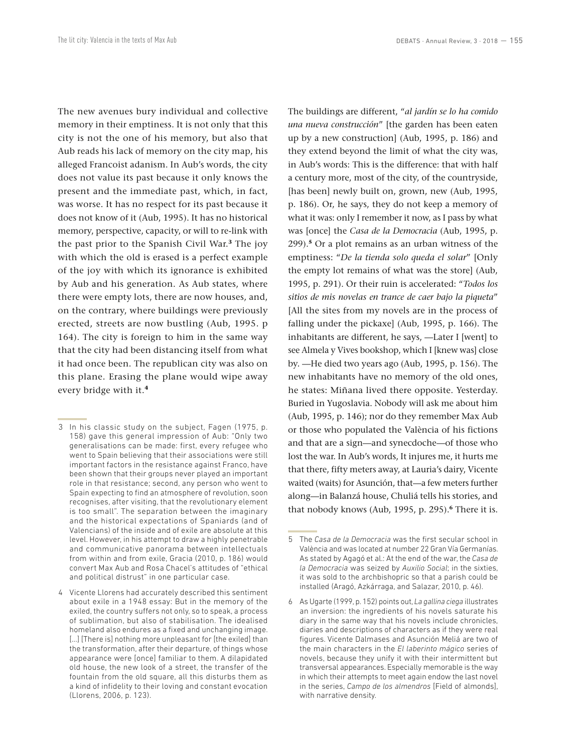The new avenues bury individual and collective memory in their emptiness. It is not only that this city is not the one of his memory, but also that Aub reads his lack of memory on the city map, his alleged Francoist adanism. In Aub's words, the city does not value its past because it only knows the present and the immediate past, which, in fact, was worse. It has no respect for its past because it does not know of it (Aub, 1995). It has no historical memory, perspective, capacity, or will to re-link with the past prior to the Spanish Civil War.**<sup>3</sup>** The joy with which the old is erased is a perfect example of the joy with which its ignorance is exhibited by Aub and his generation. As Aub states, where there were empty lots, there are now houses, and, on the contrary, where buildings were previously erected, streets are now bustling (Aub, 1995. p 164). The city is foreign to him in the same way that the city had been distancing itself from what it had once been. The republican city was also on this plane. Erasing the plane would wipe away every bridge with it.**<sup>4</sup>**

The buildings are different, "*al jardín se lo ha comido una nueva construcción*" [the garden has been eaten up by a new construction] (Aub, 1995, p. 186) and they extend beyond the limit of what the city was, in Aub's words: This is the difference: that with half a century more, most of the city, of the countryside, [has been] newly built on, grown, new (Aub, 1995, p. 186). Or, he says, they do not keep a memory of what it was: only I remember it now, as I pass by what was [once] the *Casa de la Democracia* (Aub, 1995, p. 299).**<sup>5</sup>** Or a plot remains as an urban witness of the emptiness: "*De la tienda solo queda el solar*" [Only the empty lot remains of what was the store] (Aub, 1995, p. 291). Or their ruin is accelerated: "*Todos los sitios de mis novelas en trance de caer bajo la piqueta*" [All the sites from my novels are in the process of falling under the pickaxe] (Aub, 1995, p. 166). The inhabitants are different, he says, —Later I [went] to see Almela y Vives bookshop, which I [knew was] close by. —He died two years ago (Aub, 1995, p. 156). The new inhabitants have no memory of the old ones, he states: Miñana lived there opposite. Yesterday. Buried in Yugoslavia. Nobody will ask me about him (Aub, 1995, p. 146); nor do they remember Max Aub or those who populated the València of his fictions and that are a sign—and synecdoche—of those who lost the war. In Aub's words, It injures me, it hurts me that there, fifty meters away, at Lauria's dairy, Vicente waited (waits) for Asunción, that—a few meters further along—in Balanzá house, Chuliá tells his stories, and that nobody knows (Aub, 1995, p. 295).**<sup>6</sup>** There it is.

<sup>3</sup> In his classic study on the subject, Fagen (1975, p. 158) gave this general impression of Aub: "Only two generalisations can be made: first, every refugee who went to Spain believing that their associations were still important factors in the resistance against Franco, have been shown that their groups never played an important role in that resistance; second, any person who went to Spain expecting to find an atmosphere of revolution, soon recognises, after visiting, that the revolutionary element is too small". The separation between the imaginary and the historical expectations of Spaniards (and of Valencians) of the inside and of exile are absolute at this level. However, in his attempt to draw a highly penetrable and communicative panorama between intellectuals from within and from exile, Gracia (2010, p. 186) would convert Max Aub and Rosa Chacel's attitudes of "ethical and political distrust" in one particular case.

<sup>4</sup> Vicente Llorens had accurately described this sentiment about exile in a 1948 essay: But in the memory of the exiled, the country suffers not only, so to speak, a process of sublimation, but also of stabilisation. The idealised homeland also endures as a fixed and unchanging image. [...] [There is] nothing more unpleasant for [the exiled] than the transformation, after their departure, of things whose appearance were [once] familiar to them. A dilapidated old house, the new look of a street, the transfer of the fountain from the old square, all this disturbs them as a kind of infidelity to their loving and constant evocation (Llorens, 2006, p. 123).

<sup>5</sup> The *Casa de la Democracia* was the first secular school in València and was located at number 22 Gran Vía Germanías. As stated by Agagó et al.: At the end of the war, the *Casa de la Democracia* was seized by *Auxilio Social*; in the sixties, it was sold to the archbishopric so that a parish could be installed (Aragó, Azkárraga, and Salazar, 2010, p. 46).

<sup>6</sup> As Ugarte (1999, p. 152) points out, *La gallina ciega* illustrates an inversion: the ingredients of his novels saturate his diary in the same way that his novels include chronicles, diaries and descriptions of characters as if they were real figures. Vicente Dalmases and Asunción Meliá are two of the main characters in the *El laberinto mágico* series of novels, because they unify it with their intermittent but transversal appearances. Especially memorable is the way in which their attempts to meet again endow the last novel in the series, *Campo de los almendros* [Field of almonds], with narrative density.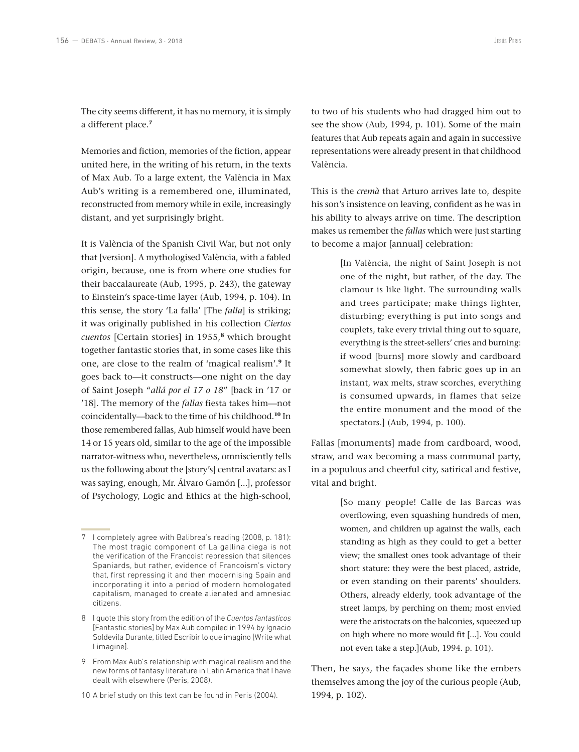Memories and fiction, memories of the fiction, appear united here, in the writing of his return, in the texts of Max Aub. To a large extent, the València in Max Aub's writing is a remembered one, illuminated, reconstructed from memory while in exile, increasingly distant, and yet surprisingly bright.

It is València of the Spanish Civil War, but not only that [version]. A mythologised València, with a fabled origin, because, one is from where one studies for their baccalaureate (Aub, 1995, p. 243), the gateway to Einstein's space-time layer (Aub, 1994, p. 104). In this sense, the story 'La falla' [The *falla*] is striking; it was originally published in his collection *Ciertos cuentos* [Certain stories] in 1955,**<sup>8</sup>** which brought together fantastic stories that, in some cases like this one, are close to the realm of 'magical realism'.**<sup>9</sup>** It goes back to—it constructs—one night on the day of Saint Joseph "*allá por el 17 o 18*" [back in '17 or '18]. The memory of the *fallas* fiesta takes him—not coincidentally—back to the time of his childhood.**<sup>10</sup>** In those remembered fallas, Aub himself would have been 14 or 15 years old, similar to the age of the impossible narrator-witness who, nevertheless, omnisciently tells us the following about the [story's] central avatars: as I was saying, enough, Mr. Álvaro Gamón [...], professor of Psychology, Logic and Ethics at the high-school,

to two of his students who had dragged him out to see the show (Aub, 1994, p. 101). Some of the main features that Aub repeats again and again in successive representations were already present in that childhood València.

This is the *cremà* that Arturo arrives late to, despite his son's insistence on leaving, confident as he was in his ability to always arrive on time. The description makes us remember the *fallas* which were just starting to become a major [annual] celebration:

> [In València, the night of Saint Joseph is not one of the night, but rather, of the day. The clamour is like light. The surrounding walls and trees participate; make things lighter, disturbing; everything is put into songs and couplets, take every trivial thing out to square, everything is the street-sellers' cries and burning: if wood [burns] more slowly and cardboard somewhat slowly, then fabric goes up in an instant, wax melts, straw scorches, everything is consumed upwards, in flames that seize the entire monument and the mood of the spectators.] (Aub, 1994, p. 100).

Fallas [monuments] made from cardboard, wood, straw, and wax becoming a mass communal party, in a populous and cheerful city, satirical and festive, vital and bright.

> [So many people! Calle de las Barcas was overflowing, even squashing hundreds of men, women, and children up against the walls, each standing as high as they could to get a better view; the smallest ones took advantage of their short stature: they were the best placed, astride, or even standing on their parents' shoulders. Others, already elderly, took advantage of the street lamps, by perching on them; most envied were the aristocrats on the balconies, squeezed up on high where no more would fit [...]. You could not even take a step.](Aub, 1994. p. 101).

Then, he says, the façades shone like the embers themselves among the joy of the curious people (Aub, 1994, p. 102).

<sup>7</sup> I completely agree with Balibrea's reading (2008, p. 181): The most tragic component of La gallina ciega is not the verification of the Francoist repression that silences Spaniards, but rather, evidence of Francoism's victory that, first repressing it and then modernising Spain and incorporating it into a period of modern homologated capitalism, managed to create alienated and amnesiac citizens.

<sup>8</sup> I quote this story from the edition of the *Cuentos fantasticos* [Fantastic stories] by Max Aub compiled in 1994 by Ignacio Soldevila Durante, titled Escribir lo que imagino [Write what I imagine].

<sup>9</sup> From Max Aub's relationship with magical realism and the new forms of fantasy literature in Latin America that I have dealt with elsewhere (Peris, 2008).

<sup>10</sup> A brief study on this text can be found in Peris (2004).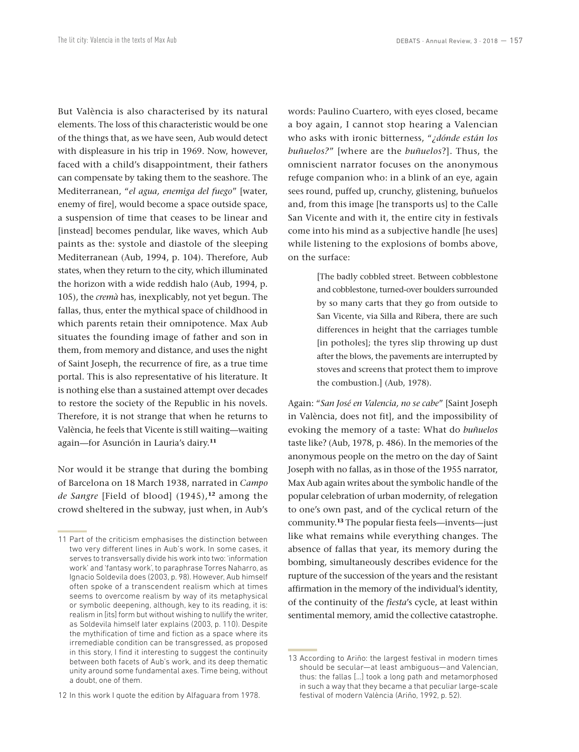But València is also characterised by its natural elements. The loss of this characteristic would be one of the things that, as we have seen, Aub would detect with displeasure in his trip in 1969. Now, however, faced with a child's disappointment, their fathers can compensate by taking them to the seashore. The Mediterranean, "*el agua, enemiga del fuego*" [water, enemy of fire], would become a space outside space, a suspension of time that ceases to be linear and [instead] becomes pendular, like waves, which Aub paints as the: systole and diastole of the sleeping Mediterranean (Aub, 1994, p. 104). Therefore, Aub states, when they return to the city, which illuminated the horizon with a wide reddish halo (Aub, 1994, p. 105), the *cremà* has, inexplicably, not yet begun. The fallas, thus, enter the mythical space of childhood in which parents retain their omnipotence. Max Aub situates the founding image of father and son in them, from memory and distance, and uses the night of Saint Joseph, the recurrence of fire, as a true time portal. This is also representative of his literature. It is nothing else than a sustained attempt over decades to restore the society of the Republic in his novels. Therefore, it is not strange that when he returns to València, he feels that Vicente is still waiting—waiting again—for Asunción in Lauria's dairy.**<sup>11</sup>**

Nor would it be strange that during the bombing of Barcelona on 18 March 1938, narrated in *Campo de Sangre* [Field of blood] (1945),**<sup>12</sup>** among the crowd sheltered in the subway, just when, in Aub's words: Paulino Cuartero, with eyes closed, became a boy again, I cannot stop hearing a Valencian who asks with ironic bitterness, "*¿dónde están los buñuelos?*" [where are the *buñuelos*?]. Thus, the omniscient narrator focuses on the anonymous refuge companion who: in a blink of an eye, again sees round, puffed up, crunchy, glistening, buñuelos and, from this image [he transports us] to the Calle San Vicente and with it, the entire city in festivals come into his mind as a subjective handle [he uses] while listening to the explosions of bombs above, on the surface:

> [The badly cobbled street. Between cobblestone and cobblestone, turned-over boulders surrounded by so many carts that they go from outside to San Vicente, via Silla and Ribera, there are such differences in height that the carriages tumble [in potholes]; the tyres slip throwing up dust after the blows, the pavements are interrupted by stoves and screens that protect them to improve the combustion.] (Aub, 1978).

Again: "*San José en Valencia, no se cabe*" [Saint Joseph in València, does not fit], and the impossibility of evoking the memory of a taste: What do *buñuelos* taste like? (Aub, 1978, p. 486). In the memories of the anonymous people on the metro on the day of Saint Joseph with no fallas, as in those of the 1955 narrator, Max Aub again writes about the symbolic handle of the popular celebration of urban modernity, of relegation to one's own past, and of the cyclical return of the community.**<sup>13</sup>** The popular fiesta feels—invents—just like what remains while everything changes. The absence of fallas that year, its memory during the bombing, simultaneously describes evidence for the rupture of the succession of the years and the resistant affirmation in the memory of the individual's identity, of the continuity of the *fiesta*'s cycle, at least within sentimental memory, amid the collective catastrophe.

<sup>11</sup> Part of the criticism emphasises the distinction between two very different lines in Aub's work. In some cases, it serves to transversally divide his work into two: 'information work' and 'fantasy work', to paraphrase Torres Naharro, as Ignacio Soldevila does (2003, p. 98). However, Aub himself often spoke of a transcendent realism which at times seems to overcome realism by way of its metaphysical or symbolic deepening, although, key to its reading, it is: realism in [its] form but without wishing to nullify the writer, as Soldevila himself later explains (2003, p. 110). Despite the mythification of time and fiction as a space where its irremediable condition can be transgressed, as proposed in this story, I find it interesting to suggest the continuity between both facets of Aub's work, and its deep thematic unity around some fundamental axes. Time being, without a doubt, one of them.

<sup>12</sup> In this work I quote the edition by Alfaguara from 1978.

<sup>13</sup> According to Ariño: the largest festival in modern times should be secular—at least ambiguous—and Valencian, thus: the fallas [...] took a long path and metamorphosed in such a way that they became a that peculiar large-scale festival of modern València (Ariño, 1992, p. 52).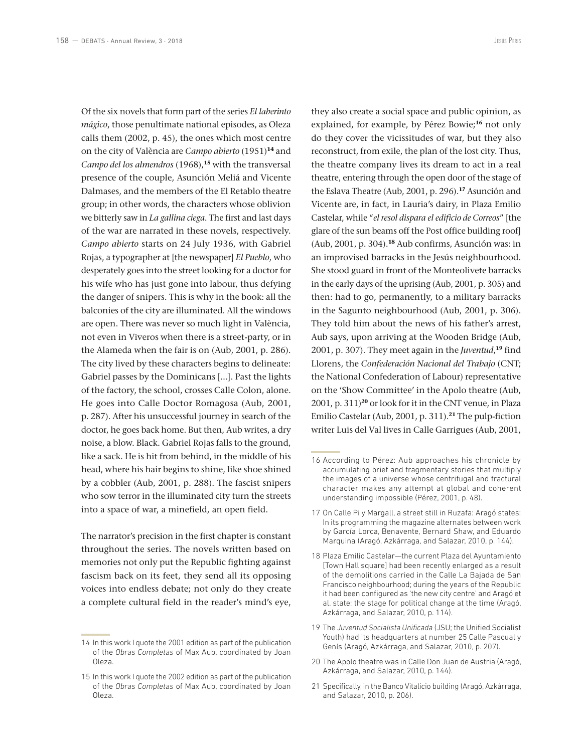Of the six novels that form part of the series *El laberinto mágico*, those penultimate national episodes, as Oleza calls them (2002, p. 45), the ones which most centre on the city of València are *Campo abierto* (1951)**<sup>14</sup>** and *Campo del los almendros* (1968),**<sup>15</sup>** with the transversal presence of the couple, Asunción Meliá and Vicente Dalmases, and the members of the El Retablo theatre group; in other words, the characters whose oblivion we bitterly saw in *La gallina ciega*. The first and last days of the war are narrated in these novels, respectively. *Campo abierto* starts on 24 July 1936, with Gabriel Rojas, a typographer at [the newspaper] *El Pueblo*, who desperately goes into the street looking for a doctor for his wife who has just gone into labour, thus defying the danger of snipers. This is why in the book: all the balconies of the city are illuminated. All the windows are open. There was never so much light in València, not even in Viveros when there is a street-party, or in the Alameda when the fair is on (Aub, 2001, p. 286). The city lived by these characters begins to delineate: Gabriel passes by the Dominicans [...]. Past the lights of the factory, the school, crosses Calle Colon, alone. He goes into Calle Doctor Romagosa (Aub, 2001, p. 287). After his unsuccessful journey in search of the doctor, he goes back home. But then, Aub writes, a dry noise, a blow. Black. Gabriel Rojas falls to the ground, like a sack. He is hit from behind, in the middle of his head, where his hair begins to shine, like shoe shined by a cobbler (Aub, 2001, p. 288). The fascist snipers who sow terror in the illuminated city turn the streets into a space of war, a minefield, an open field.

The narrator's precision in the first chapter is constant throughout the series. The novels written based on memories not only put the Republic fighting against fascism back on its feet, they send all its opposing voices into endless debate; not only do they create a complete cultural field in the reader's mind's eye,

they also create a social space and public opinion, as explained, for example, by Pérez Bowie;**<sup>16</sup>** not only do they cover the vicissitudes of war, but they also reconstruct, from exile, the plan of the lost city. Thus, the theatre company lives its dream to act in a real theatre, entering through the open door of the stage of the Eslava Theatre (Aub, 2001, p. 296).**<sup>17</sup>** Asunción and Vicente are, in fact, in Lauria's dairy, in Plaza Emilio Castelar, while "*el resol dispara el edificio de Correos*" [the glare of the sun beams off the Post office building roof] (Aub, 2001, p. 304).**<sup>18</sup>** Aub confirms, Asunción was: in an improvised barracks in the Jesús neighbourhood. She stood guard in front of the Monteolivete barracks in the early days of the uprising (Aub, 2001, p. 305) and then: had to go, permanently, to a military barracks in the Sagunto neighbourhood (Aub, 2001, p. 306). They told him about the news of his father's arrest, Aub says, upon arriving at the Wooden Bridge (Aub, 2001, p. 307). They meet again in the *Juventud*, **<sup>19</sup>** find Llorens, the *Confederación Nacional del Trabajo* (CNT; the National Confederation of Labour) representative on the 'Show Committee' in the Apolo theatre (Aub, 2001, p. 311)**<sup>20</sup>** or look for it in the CNT venue, in Plaza Emilio Castelar (Aub, 2001, p. 311).**<sup>21</sup>** The pulp-fiction writer Luis del Val lives in Calle Garrigues (Aub, 2001,

- 19 The *Juventud Socialista Unificada* (JSU; the Unified Socialist Youth) had its headquarters at number 25 Calle Pascual y Genís (Aragó, Azkárraga, and Salazar, 2010, p. 207).
- 20 The Apolo theatre was in Calle Don Juan de Austria (Aragó, Azkárraga, and Salazar, 2010, p. 144).
- 21 Specifically, in the Banco Vitalicio building (Aragó, Azkárraga, and Salazar, 2010, p. 206).

<sup>14</sup> In this work I quote the 2001 edition as part of the publication of the *Obras Completas* of Max Aub, coordinated by Joan Oleza.

<sup>15</sup> In this work I quote the 2002 edition as part of the publication of the *Obras Completas* of Max Aub, coordinated by Joan Oleza.

<sup>16</sup> According to Pérez: Aub approaches his chronicle by accumulating brief and fragmentary stories that multiply the images of a universe whose centrifugal and fractural character makes any attempt at global and coherent understanding impossible (Pérez, 2001, p. 48).

<sup>17</sup> On Calle Pi y Margall, a street still in Ruzafa: Aragó states: In its programming the magazine alternates between work by García Lorca, Benavente, Bernard Shaw, and Eduardo Marquina (Aragó, Azkárraga, and Salazar, 2010, p. 144).

<sup>18</sup> Plaza Emilio Castelar—the current Plaza del Ayuntamiento [Town Hall square] had been recently enlarged as a result of the demolitions carried in the Calle La Bajada de San Francisco neighbourhood; during the years of the Republic it had been configured as 'the new city centre' and Aragó et al. state: the stage for political change at the time (Aragó, Azkárraga, and Salazar, 2010, p. 114).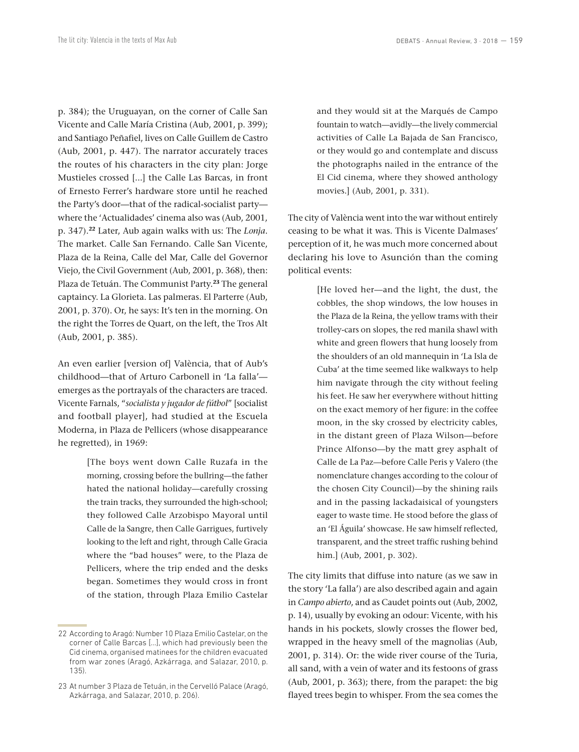p. 384); the Uruguayan, on the corner of Calle San Vicente and Calle María Cristina (Aub, 2001, p. 399); and Santiago Peñafiel, lives on Calle Guillem de Castro (Aub, 2001, p. 447). The narrator accurately traces the routes of his characters in the city plan: Jorge Mustieles crossed [...] the Calle Las Barcas, in front of Ernesto Ferrer's hardware store until he reached the Party's door—that of the radical-socialist party where the 'Actualidades' cinema also was (Aub, 2001, p. 347).**<sup>22</sup>** Later, Aub again walks with us: The *Lonja*. The market. Calle San Fernando. Calle San Vicente, Plaza de la Reina, Calle del Mar, Calle del Governor Viejo, the Civil Government (Aub, 2001, p. 368), then: Plaza de Tetuán. The Communist Party.**<sup>23</sup>** The general captaincy. La Glorieta. Las palmeras. El Parterre (Aub, 2001, p. 370). Or, he says: It's ten in the morning. On the right the Torres de Quart, on the left, the Tros Alt (Aub, 2001, p. 385).

An even earlier [version of] València, that of Aub's childhood—that of Arturo Carbonell in 'La falla' emerges as the portrayals of the characters are traced. Vicente Farnals, "*socialista y jugador de fútbol*" [socialist and football player], had studied at the Escuela Moderna, in Plaza de Pellicers (whose disappearance he regretted), in 1969:

> [The boys went down Calle Ruzafa in the morning, crossing before the bullring—the father hated the national holiday—carefully crossing the train tracks, they surrounded the high-school; they followed Calle Arzobispo Mayoral until Calle de la Sangre, then Calle Garrigues, furtively looking to the left and right, through Calle Gracia where the "bad houses" were, to the Plaza de Pellicers, where the trip ended and the desks began. Sometimes they would cross in front of the station, through Plaza Emilio Castelar

and they would sit at the Marqués de Campo fountain to watch—avidly—the lively commercial activities of Calle La Bajada de San Francisco, or they would go and contemplate and discuss the photographs nailed in the entrance of the El Cid cinema, where they showed anthology movies.] (Aub, 2001, p. 331).

The city of València went into the war without entirely ceasing to be what it was. This is Vicente Dalmases' perception of it, he was much more concerned about declaring his love to Asunción than the coming political events:

> [He loved her—and the light, the dust, the cobbles, the shop windows, the low houses in the Plaza de la Reina, the yellow trams with their trolley-cars on slopes, the red manila shawl with white and green flowers that hung loosely from the shoulders of an old mannequin in 'La Isla de Cuba' at the time seemed like walkways to help him navigate through the city without feeling his feet. He saw her everywhere without hitting on the exact memory of her figure: in the coffee moon, in the sky crossed by electricity cables, in the distant green of Plaza Wilson—before Prince Alfonso—by the matt grey asphalt of Calle de La Paz—before Calle Peris y Valero (the nomenclature changes according to the colour of the chosen City Council)—by the shining rails and in the passing lackadaisical of youngsters eager to waste time. He stood before the glass of an 'El Águila' showcase. He saw himself reflected, transparent, and the street traffic rushing behind him.] (Aub, 2001, p. 302).

The city limits that diffuse into nature (as we saw in the story 'La falla') are also described again and again in *Campo abierto*, and as Caudet points out (Aub, 2002, p. 14), usually by evoking an odour: Vicente, with his hands in his pockets, slowly crosses the flower bed, wrapped in the heavy smell of the magnolias (Aub, 2001, p. 314). Or: the wide river course of the Turia, all sand, with a vein of water and its festoons of grass (Aub, 2001, p. 363); there, from the parapet: the big flayed trees begin to whisper. From the sea comes the

<sup>22</sup> According to Aragó: Number 10 Plaza Emilio Castelar, on the corner of Calle Barcas [...], which had previously been the Cid cinema, organised matinees for the children evacuated from war zones (Aragó, Azkárraga, and Salazar, 2010, p. 135).

<sup>23</sup> At number 3 Plaza de Tetuán, in the Cervelló Palace (Aragó, Azkárraga, and Salazar, 2010, p. 206).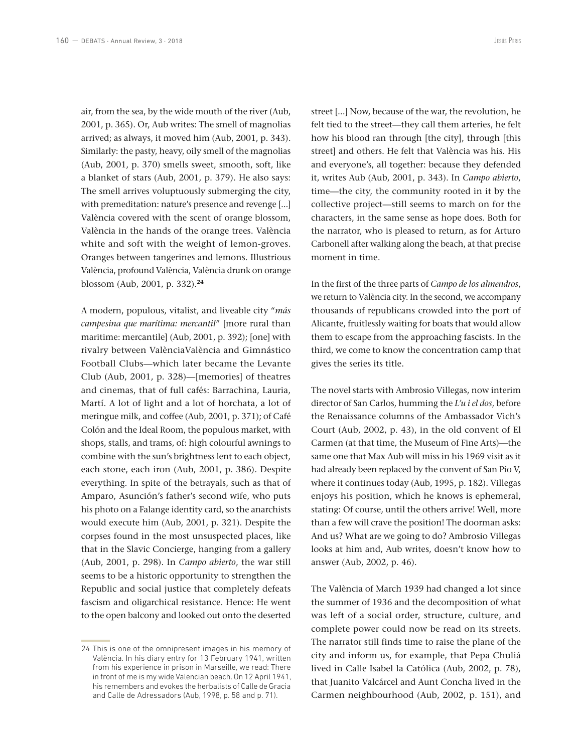air, from the sea, by the wide mouth of the river (Aub, 2001, p. 365). Or, Aub writes: The smell of magnolias arrived; as always, it moved him (Aub, 2001, p. 343). Similarly: the pasty, heavy, oily smell of the magnolias (Aub, 2001, p. 370) smells sweet, smooth, soft, like a blanket of stars (Aub, 2001, p. 379). He also says: The smell arrives voluptuously submerging the city, with premeditation: nature's presence and revenge [...] València covered with the scent of orange blossom, València in the hands of the orange trees. València white and soft with the weight of lemon-groves. Oranges between tangerines and lemons. Illustrious València, profound València, València drunk on orange blossom (Aub, 2001, p. 332).**<sup>24</sup>**

A modern, populous, vitalist, and liveable city "*más campesina que marítima: mercantil*" [more rural than maritime: mercantile] (Aub, 2001, p. 392); [one] with rivalry between ValènciaValència and Gimnástico Football Clubs—which later became the Levante Club (Aub, 2001, p. 328)—[memories] of theatres and cinemas, that of full cafés: Barrachina, Lauria, Martí. A lot of light and a lot of horchata, a lot of meringue milk, and coffee (Aub, 2001, p. 371); of Café Colón and the Ideal Room, the populous market, with shops, stalls, and trams, of: high colourful awnings to combine with the sun's brightness lent to each object, each stone, each iron (Aub, 2001, p. 386). Despite everything. In spite of the betrayals, such as that of Amparo, Asunción's father's second wife, who puts his photo on a Falange identity card, so the anarchists would execute him (Aub, 2001, p. 321). Despite the corpses found in the most unsuspected places, like that in the Slavic Concierge, hanging from a gallery (Aub, 2001, p. 298). In *Campo abierto*, the war still seems to be a historic opportunity to strengthen the Republic and social justice that completely defeats fascism and oligarchical resistance. Hence: He went to the open balcony and looked out onto the deserted

24 This is one of the omnipresent images in his memory of València. In his diary entry for 13 February 1941, written from his experience in prison in Marseille, we read: There in front of me is my wide Valencian beach. On 12 April 1941, his remembers and evokes the herbalists of Calle de Gracia and Calle de Adressadors (Aub, 1998, p. 58 and p. 71).

street [...] Now, because of the war, the revolution, he felt tied to the street—they call them arteries, he felt how his blood ran through [the city], through [this street] and others. He felt that València was his. His and everyone's, all together: because they defended it, writes Aub (Aub, 2001, p. 343). In *Campo abierto*, time—the city, the community rooted in it by the collective project—still seems to march on for the characters, in the same sense as hope does. Both for the narrator, who is pleased to return, as for Arturo Carbonell after walking along the beach, at that precise moment in time.

In the first of the three parts of *Campo de los almendros*, we return to València city. In the second, we accompany thousands of republicans crowded into the port of Alicante, fruitlessly waiting for boats that would allow them to escape from the approaching fascists. In the third, we come to know the concentration camp that gives the series its title.

The novel starts with Ambrosio Villegas, now interim director of San Carlos, humming the *L'u i el dos*, before the Renaissance columns of the Ambassador Vich's Court (Aub, 2002, p. 43), in the old convent of El Carmen (at that time, the Museum of Fine Arts)—the same one that Max Aub will miss in his 1969 visit as it had already been replaced by the convent of San Pío V, where it continues today (Aub, 1995, p. 182). Villegas enjoys his position, which he knows is ephemeral, stating: Of course, until the others arrive! Well, more than a few will crave the position! The doorman asks: And us? What are we going to do? Ambrosio Villegas looks at him and, Aub writes, doesn't know how to answer (Aub, 2002, p. 46).

The València of March 1939 had changed a lot since the summer of 1936 and the decomposition of what was left of a social order, structure, culture, and complete power could now be read on its streets. The narrator still finds time to raise the plane of the city and inform us, for example, that Pepa Chuliá lived in Calle Isabel la Católica (Aub, 2002, p. 78), that Juanito Valcárcel and Aunt Concha lived in the Carmen neighbourhood (Aub, 2002, p. 151), and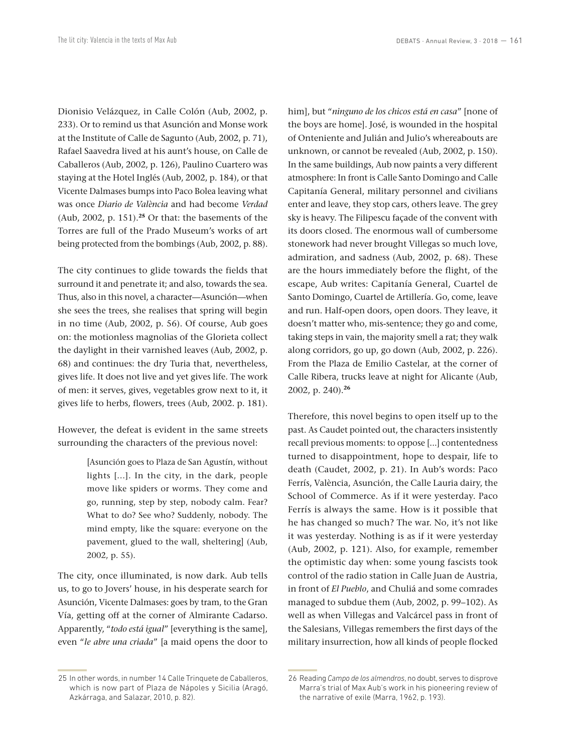Dionisio Velázquez, in Calle Colón (Aub, 2002, p. 233). Or to remind us that Asunción and Monse work at the Institute of Calle de Sagunto (Aub, 2002, p. 71), Rafael Saavedra lived at his aunt's house, on Calle de Caballeros (Aub, 2002, p. 126), Paulino Cuartero was staying at the Hotel Inglés (Aub, 2002, p. 184), or that Vicente Dalmases bumps into Paco Bolea leaving what was once *Diario de València* and had become *Verdad* (Aub, 2002, p. 151).**<sup>25</sup>** Or that: the basements of the Torres are full of the Prado Museum's works of art being protected from the bombings (Aub, 2002, p. 88).

The city continues to glide towards the fields that surround it and penetrate it; and also, towards the sea. Thus, also in this novel, a character—Asunción—when she sees the trees, she realises that spring will begin in no time (Aub, 2002, p. 56). Of course, Aub goes on: the motionless magnolias of the Glorieta collect the daylight in their varnished leaves (Aub, 2002, p. 68) and continues: the dry Turia that, nevertheless, gives life. It does not live and yet gives life. The work of men: it serves, gives, vegetables grow next to it, it gives life to herbs, flowers, trees (Aub, 2002. p. 181).

However, the defeat is evident in the same streets surrounding the characters of the previous novel:

> [Asunción goes to Plaza de San Agustín, without lights [...]. In the city, in the dark, people move like spiders or worms. They come and go, running, step by step, nobody calm. Fear? What to do? See who? Suddenly, nobody. The mind empty, like the square: everyone on the pavement, glued to the wall, sheltering] (Aub, 2002, p. 55).

The city, once illuminated, is now dark. Aub tells us, to go to Jovers' house, in his desperate search for Asunción, Vicente Dalmases: goes by tram, to the Gran Vía, getting off at the corner of Almirante Cadarso. Apparently, "*todo está igual*" [everything is the same], even "*le abre una criada*" [a maid opens the door to

atmosphere: In front is Calle Santo Domingo and Calle Capitanía General, military personnel and civilians enter and leave, they stop cars, others leave. The grey sky is heavy. The Filipescu façade of the convent with its doors closed. The enormous wall of cumbersome stonework had never brought Villegas so much love, admiration, and sadness (Aub, 2002, p. 68). These are the hours immediately before the flight, of the escape, Aub writes: Capitanía General, Cuartel de Santo Domingo, Cuartel de Artillería. Go, come, leave and run. Half-open doors, open doors. They leave, it doesn't matter who, mis-sentence; they go and come, taking steps in vain, the majority smell a rat; they walk along corridors, go up, go down (Aub, 2002, p. 226). From the Plaza de Emilio Castelar, at the corner of Calle Ribera, trucks leave at night for Alicante (Aub,

2002, p. 240).**<sup>26</sup>**

him], but "*ninguno de los chicos está en casa*" [none of the boys are home]. José, is wounded in the hospital of Onteniente and Julián and Julio's whereabouts are unknown, or cannot be revealed (Aub, 2002, p. 150). In the same buildings, Aub now paints a very different

Therefore, this novel begins to open itself up to the past. As Caudet pointed out, the characters insistently recall previous moments: to oppose [...] contentedness turned to disappointment, hope to despair, life to death (Caudet, 2002, p. 21). In Aub's words: Paco Ferrís, València, Asunción, the Calle Lauria dairy, the School of Commerce. As if it were yesterday. Paco Ferrís is always the same. How is it possible that he has changed so much? The war. No, it's not like it was yesterday. Nothing is as if it were yesterday (Aub, 2002, p. 121). Also, for example, remember the optimistic day when: some young fascists took control of the radio station in Calle Juan de Austria, in front of *El Pueblo*, and Chuliá and some comrades managed to subdue them (Aub, 2002, p. 99–102). As well as when Villegas and Valcárcel pass in front of the Salesians, Villegas remembers the first days of the military insurrection, how all kinds of people flocked

<sup>25</sup> In other words, in number 14 Calle Trinquete de Caballeros, which is now part of Plaza de Nápoles y Sicilia (Aragó, Azkárraga, and Salazar, 2010, p. 82).

<sup>26</sup> Reading *Campo de los almendros*, no doubt, serves to disprove Marra's trial of Max Aub's work in his pioneering review of the narrative of exile (Marra, 1962, p. 193).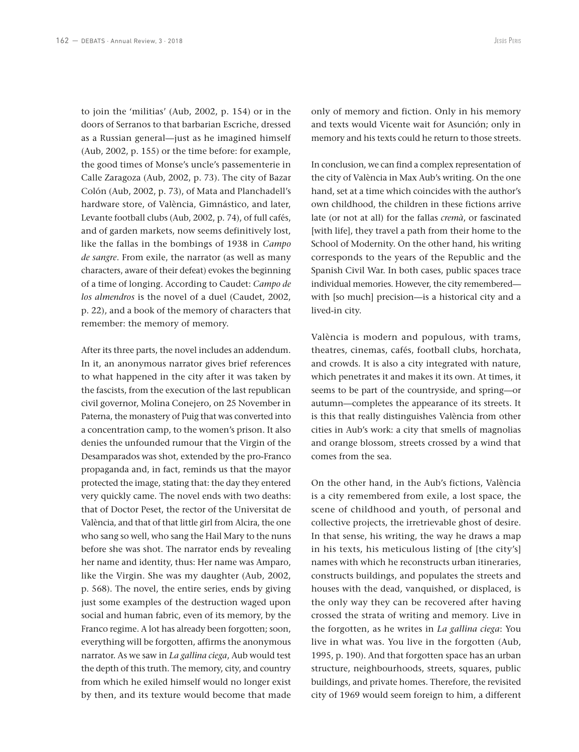to join the 'militias' (Aub, 2002, p. 154) or in the doors of Serranos to that barbarian Escriche, dressed as a Russian general—just as he imagined himself (Aub, 2002, p. 155) or the time before: for example, the good times of Monse's uncle's passementerie in Calle Zaragoza (Aub, 2002, p. 73). The city of Bazar Colón (Aub, 2002, p. 73), of Mata and Planchadell's hardware store, of València, Gimnástico, and later, Levante football clubs (Aub, 2002, p. 74), of full cafés, and of garden markets, now seems definitively lost, like the fallas in the bombings of 1938 in *Campo de sangre*. From exile, the narrator (as well as many characters, aware of their defeat) evokes the beginning of a time of longing. According to Caudet: *Campo de los almendros* is the novel of a duel (Caudet, 2002, p. 22), and a book of the memory of characters that remember: the memory of memory.

After its three parts, the novel includes an addendum. In it, an anonymous narrator gives brief references to what happened in the city after it was taken by the fascists, from the execution of the last republican civil governor, Molina Conejero, on 25 November in Paterna, the monastery of Puig that was converted into a concentration camp, to the women's prison. It also denies the unfounded rumour that the Virgin of the Desamparados was shot, extended by the pro-Franco propaganda and, in fact, reminds us that the mayor protected the image, stating that: the day they entered very quickly came. The novel ends with two deaths: that of Doctor Peset, the rector of the Universitat de València, and that of that little girl from Alcira, the one who sang so well, who sang the Hail Mary to the nuns before she was shot. The narrator ends by revealing her name and identity, thus: Her name was Amparo, like the Virgin. She was my daughter (Aub, 2002, p. 568). The novel, the entire series, ends by giving just some examples of the destruction waged upon social and human fabric, even of its memory, by the Franco regime. A lot has already been forgotten; soon, everything will be forgotten, affirms the anonymous narrator. As we saw in *La gallina ciega*, Aub would test the depth of this truth. The memory, city, and country from which he exiled himself would no longer exist by then, and its texture would become that made

only of memory and fiction. Only in his memory and texts would Vicente wait for Asunción; only in memory and his texts could he return to those streets.

In conclusion, we can find a complex representation of the city of València in Max Aub's writing. On the one hand, set at a time which coincides with the author's own childhood, the children in these fictions arrive late (or not at all) for the fallas *cremà*, or fascinated [with life], they travel a path from their home to the School of Modernity. On the other hand, his writing corresponds to the years of the Republic and the Spanish Civil War. In both cases, public spaces trace individual memories. However, the city remembered with [so much] precision—is a historical city and a lived-in city.

València is modern and populous, with trams, theatres, cinemas, cafés, football clubs, horchata, and crowds. It is also a city integrated with nature, which penetrates it and makes it its own. At times, it seems to be part of the countryside, and spring—or autumn—completes the appearance of its streets. It is this that really distinguishes València from other cities in Aub's work: a city that smells of magnolias and orange blossom, streets crossed by a wind that comes from the sea.

On the other hand, in the Aub's fictions, València is a city remembered from exile, a lost space, the scene of childhood and youth, of personal and collective projects, the irretrievable ghost of desire. In that sense, his writing, the way he draws a map in his texts, his meticulous listing of [the city's] names with which he reconstructs urban itineraries, constructs buildings, and populates the streets and houses with the dead, vanquished, or displaced, is the only way they can be recovered after having crossed the strata of writing and memory. Live in the forgotten, as he writes in *La gallina ciega*: You live in what was. You live in the forgotten (Aub, 1995, p. 190). And that forgotten space has an urban structure, neighbourhoods, streets, squares, public buildings, and private homes. Therefore, the revisited city of 1969 would seem foreign to him, a different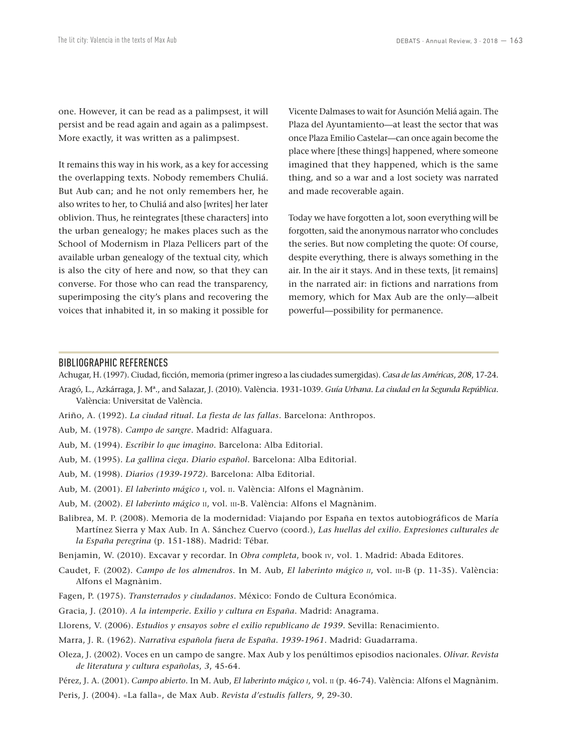one. However, it can be read as a palimpsest, it will persist and be read again and again as a palimpsest. More exactly, it was written as a palimpsest.

It remains this way in his work, as a key for accessing the overlapping texts. Nobody remembers Chuliá. But Aub can; and he not only remembers her, he also writes to her, to Chuliá and also [writes] her later oblivion. Thus, he reintegrates [these characters] into the urban genealogy; he makes places such as the School of Modernism in Plaza Pellicers part of the available urban genealogy of the textual city, which is also the city of here and now, so that they can converse. For those who can read the transparency, superimposing the city's plans and recovering the voices that inhabited it, in so making it possible for Vicente Dalmases to wait for Asunción Meliá again. The Plaza del Ayuntamiento—at least the sector that was once Plaza Emilio Castelar—can once again become the place where [these things] happened, where someone imagined that they happened, which is the same thing, and so a war and a lost society was narrated and made recoverable again.

Today we have forgotten a lot, soon everything will be forgotten, said the anonymous narrator who concludes the series. But now completing the quote: Of course, despite everything, there is always something in the air. In the air it stays. And in these texts, [it remains] in the narrated air: in fictions and narrations from memory, which for Max Aub are the only—albeit powerful—possibility for permanence.

## BIBLIOGRAPHIC REFERENCES

Achugar, H. (1997). Ciudad, ficción, memoria (primer ingreso a las ciudades sumergidas). *Casa de las Américas*, *208*, 17-24.

- Aragó, L., Azkárraga, J. Mª., and Salazar, J. (2010). València. 1931-1039. *Guía Urbana. La ciudad en la Segunda República*. València: Universitat de València.
- Ariño, A. (1992). *La ciudad ritual. La fiesta de las fallas*. Barcelona: Anthropos.
- Aub, M. (1978). *Campo de sangre*. Madrid: Alfaguara.
- Aub, M. (1994). *Escribir lo que imagino*. Barcelona: Alba Editorial.
- Aub, M. (1995). *La gallina ciega. Diario español*. Barcelona: Alba Editorial.
- Aub, M. (1998). *Diarios (1939‑1972)*. Barcelona: Alba Editorial.
- Aub, M. (2001). *El laberinto mágico* i, vol. ii. València: Alfons el Magnànim.
- Aub, M. (2002). *El laberinto mágico* ii, vol. iii-B. València: Alfons el Magnànim.
- Balibrea, M. P. (2008). Memoria de la modernidad: Viajando por España en textos autobiográficos de María Martínez Sierra y Max Aub. In A. Sánchez Cuervo (coord.), *Las huellas del exilio. Expresiones culturales de la España peregrina* (p. 151-188). Madrid: Tébar.
- Benjamin, W. (2010). Excavar y recordar. In *Obra completa*, book iv, vol. 1. Madrid: Abada Editores.
- Caudet, F. (2002). *Campo de los almendros*. In M. Aub, *El laberinto mágico ii*, vol. iii-B (p. 11-35). València: Alfons el Magnànim.
- Fagen, P. (1975). *Transterrados y ciudadanos*. México: Fondo de Cultura Económica.
- Gracia, J. (2010). *A la intemperie. Exilio y cultura en España*. Madrid: Anagrama.
- Llorens, V. (2006). *Estudios y ensayos sobre el exilio republicano de 1939*. Sevilla: Renacimiento.
- Marra, J. R. (1962). *Narrativa española fuera de España*. *1939‑1961*. Madrid: Guadarrama.
- Oleza, J. (2002). Voces en un campo de sangre. Max Aub y los penúltimos episodios nacionales. *Olivar. Revista de literatura y cultura españolas*, *3*, 45-64.
- Pérez, J. A. (2001). *Campo abierto*. In M. Aub, *El laberinto mágico i*, vol. ii (p. 46-74). València: Alfons el Magnànim.
- Peris, J. (2004). «La falla», de Max Aub. *Revista d'estudis fallers, 9*, 29-30.